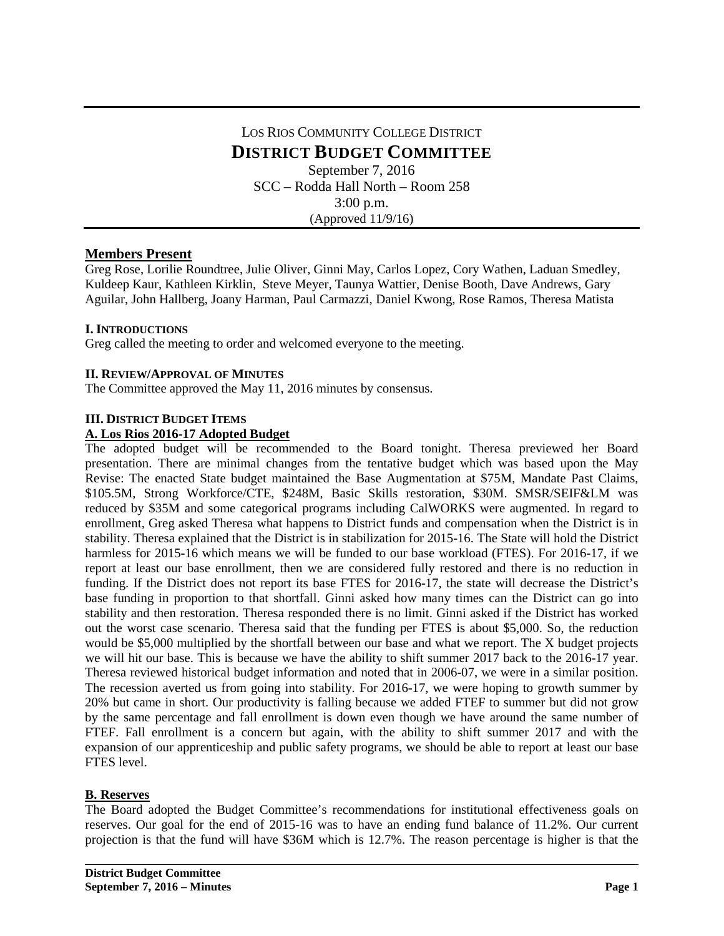# LOS RIOS COMMUNITY COLLEGE DISTRICT **DISTRICT BUDGET COMMITTEE** September 7, 2016 SCC – Rodda Hall North – Room 258 3:00 p.m. (Approved 11/9/16)

## **Members Present**

Greg Rose, Lorilie Roundtree, Julie Oliver, Ginni May, Carlos Lopez, Cory Wathen, Laduan Smedley, Kuldeep Kaur, Kathleen Kirklin, Steve Meyer, Taunya Wattier, Denise Booth, Dave Andrews, Gary Aguilar, John Hallberg, Joany Harman, Paul Carmazzi, Daniel Kwong, Rose Ramos, Theresa Matista

### **I. INTRODUCTIONS**

Greg called the meeting to order and welcomed everyone to the meeting.

### **II. REVIEW/APPROVAL OF MINUTES**

The Committee approved the May 11, 2016 minutes by consensus.

#### **III. DISTRICT BUDGET ITEMS**

#### **A. Los Rios 2016-17 Adopted Budget**

The adopted budget will be recommended to the Board tonight. Theresa previewed her Board presentation. There are minimal changes from the tentative budget which was based upon the May Revise: The enacted State budget maintained the Base Augmentation at \$75M, Mandate Past Claims, \$105.5M, Strong Workforce/CTE, \$248M, Basic Skills restoration, \$30M. SMSR/SEIF&LM was reduced by \$35M and some categorical programs including CalWORKS were augmented. In regard to enrollment, Greg asked Theresa what happens to District funds and compensation when the District is in stability. Theresa explained that the District is in stabilization for 2015-16. The State will hold the District harmless for 2015-16 which means we will be funded to our base workload (FTES). For 2016-17, if we report at least our base enrollment, then we are considered fully restored and there is no reduction in funding. If the District does not report its base FTES for 2016-17, the state will decrease the District's base funding in proportion to that shortfall. Ginni asked how many times can the District can go into stability and then restoration. Theresa responded there is no limit. Ginni asked if the District has worked out the worst case scenario. Theresa said that the funding per FTES is about \$5,000. So, the reduction would be \$5,000 multiplied by the shortfall between our base and what we report. The X budget projects we will hit our base. This is because we have the ability to shift summer 2017 back to the 2016-17 year. Theresa reviewed historical budget information and noted that in 2006-07, we were in a similar position. The recession averted us from going into stability. For 2016-17, we were hoping to growth summer by 20% but came in short. Our productivity is falling because we added FTEF to summer but did not grow by the same percentage and fall enrollment is down even though we have around the same number of FTEF. Fall enrollment is a concern but again, with the ability to shift summer 2017 and with the expansion of our apprenticeship and public safety programs, we should be able to report at least our base FTES level.

### **B. Reserves**

The Board adopted the Budget Committee's recommendations for institutional effectiveness goals on reserves. Our goal for the end of 2015-16 was to have an ending fund balance of 11.2%. Our current projection is that the fund will have \$36M which is 12.7%. The reason percentage is higher is that the